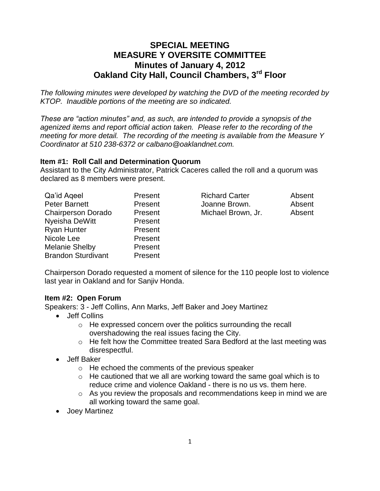# **SPECIAL MEETING MEASURE Y OVERSITE COMMITTEE Minutes of January 4, 2012 Oakland City Hall, Council Chambers, 3rd Floor**

*The following minutes were developed by watching the DVD of the meeting recorded by KTOP. Inaudible portions of the meeting are so indicated.*

*These are "action minutes" and, as such, are intended to provide a synopsis of the agenized items and report official action taken. Please refer to the recording of the meeting for more detail. The recording of the meeting is available from the Measure Y Coordinator at 510 238-6372 or calbano@oaklandnet.com.*

### **Item #1: Roll Call and Determination Quorum**

Assistant to the City Administrator, Patrick Caceres called the roll and a quorum was declared as 8 members were present.

| Qa'id Ageel               | Present | <b>Richard Carter</b> | Absent |
|---------------------------|---------|-----------------------|--------|
| <b>Peter Barnett</b>      | Present | Joanne Brown.         | Absent |
| <b>Chairperson Dorado</b> | Present | Michael Brown, Jr.    | Absent |
| Nyeisha DeWitt            | Present |                       |        |
| <b>Ryan Hunter</b>        | Present |                       |        |
| Nicole Lee                | Present |                       |        |
| <b>Melanie Shelby</b>     | Present |                       |        |
| <b>Brandon Sturdivant</b> | Present |                       |        |

Chairperson Dorado requested a moment of silence for the 110 people lost to violence last year in Oakland and for Sanjiv Honda.

### **Item #2: Open Forum**

Speakers: 3 - Jeff Collins, Ann Marks, Jeff Baker and Joey Martinez

- Jeff Collins
	- o He expressed concern over the politics surrounding the recall overshadowing the real issues facing the City.
	- o He felt how the Committee treated Sara Bedford at the last meeting was disrespectful.
- Jeff Baker
	- o He echoed the comments of the previous speaker
	- $\circ$  He cautioned that we all are working toward the same goal which is to reduce crime and violence Oakland - there is no us vs. them here.
	- $\circ$  As you review the proposals and recommendations keep in mind we are all working toward the same goal.
- Joey Martinez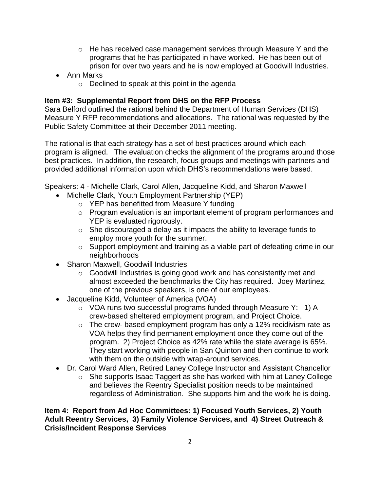- $\circ$  He has received case management services through Measure Y and the programs that he has participated in have worked. He has been out of prison for over two years and he is now employed at Goodwill Industries.
- Ann Marks
	- o Declined to speak at this point in the agenda

### **Item #3: Supplemental Report from DHS on the RFP Process**

Sara Belford outlined the rational behind the Department of Human Services (DHS) Measure Y RFP recommendations and allocations. The rational was requested by the Public Safety Committee at their December 2011 meeting.

The rational is that each strategy has a set of best practices around which each program is aligned. The evaluation checks the alignment of the programs around those best practices. In addition, the research, focus groups and meetings with partners and provided additional information upon which DHS's recommendations were based.

Speakers: 4 - Michelle Clark, Carol Allen, Jacqueline Kidd, and Sharon Maxwell

- Michelle Clark, Youth Employment Partnership (YEP)
	- o YEP has benefitted from Measure Y funding
	- o Program evaluation is an important element of program performances and YEP is evaluated rigorously.
	- o She discouraged a delay as it impacts the ability to leverage funds to employ more youth for the summer.
	- o Support employment and training as a viable part of defeating crime in our neighborhoods
- Sharon Maxwell, Goodwill Industries
	- o Goodwill Industries is going good work and has consistently met and almost exceeded the benchmarks the City has required. Joey Martinez, one of the previous speakers, is one of our employees.
- Jacqueline Kidd, Volunteer of America (VOA)
	- o VOA runs two successful programs funded through Measure Y: 1) A crew-based sheltered employment program, and Project Choice.
	- o The crew- based employment program has only a 12% recidivism rate as VOA helps they find permanent employment once they come out of the program. 2) Project Choice as 42% rate while the state average is 65%. They start working with people in San Quinton and then continue to work with them on the outside with wrap-around services.
- Dr. Carol Ward Allen, Retired Laney College Instructor and Assistant Chancellor
	- o She supports Isaac Taggert as she has worked with him at Laney College and believes the Reentry Specialist position needs to be maintained regardless of Administration. She supports him and the work he is doing.

**Item 4: Report from Ad Hoc Committees: 1) Focused Youth Services, 2) Youth Adult Reentry Services, 3) Family Violence Services, and 4) Street Outreach & Crisis/Incident Response Services**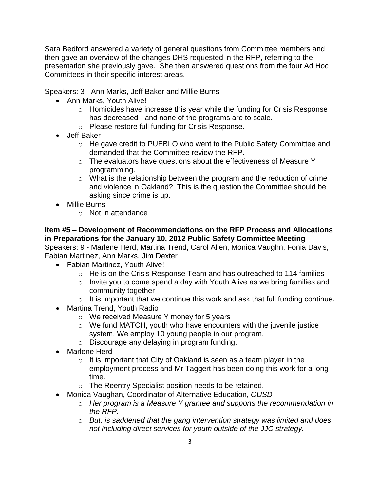Sara Bedford answered a variety of general questions from Committee members and then gave an overview of the changes DHS requested in the RFP, referring to the presentation she previously gave. She then answered questions from the four Ad Hoc Committees in their specific interest areas.

Speakers: 3 - Ann Marks, Jeff Baker and Millie Burns

- Ann Marks, Youth Alive!
	- o Homicides have increase this year while the funding for Crisis Response has decreased - and none of the programs are to scale.
	- o Please restore full funding for Crisis Response.
- Jeff Baker
	- o He gave credit to PUEBLO who went to the Public Safety Committee and demanded that the Committee review the RFP.
	- $\circ$  The evaluators have questions about the effectiveness of Measure Y programming.
	- o What is the relationship between the program and the reduction of crime and violence in Oakland? This is the question the Committee should be asking since crime is up.
- Millie Burns
	- o Not in attendance

**Item #5 – Development of Recommendations on the RFP Process and Allocations in Preparations for the January 10, 2012 Public Safety Committee Meeting** Speakers: 9 - Marlene Herd, Martina Trend, Carol Allen, Monica Vaughn, Fonia Davis,

Fabian Martinez, Ann Marks, Jim Dexter

- Fabian Martinez, Youth Alive!
	- o He is on the Crisis Response Team and has outreached to 114 families
	- o Invite you to come spend a day with Youth Alive as we bring families and community together
	- $\circ$  It is important that we continue this work and ask that full funding continue.
- Martina Trend, Youth Radio
	- o We received Measure Y money for 5 years
	- $\circ$  We fund MATCH, youth who have encounters with the juvenile justice system. We employ 10 young people in our program.
	- o Discourage any delaying in program funding.
- Marlene Herd
	- $\circ$  It is important that City of Oakland is seen as a team player in the employment process and Mr Taggert has been doing this work for a long time.
	- o The Reentry Specialist position needs to be retained.
- Monica Vaughan, Coordinator of Alternative Education, *OUSD*
	- o *Her program is a Measure Y grantee and supports the recommendation in the RFP.*
	- o *But, is saddened that the gang intervention strategy was limited and does not including direct services for youth outside of the JJC strategy.*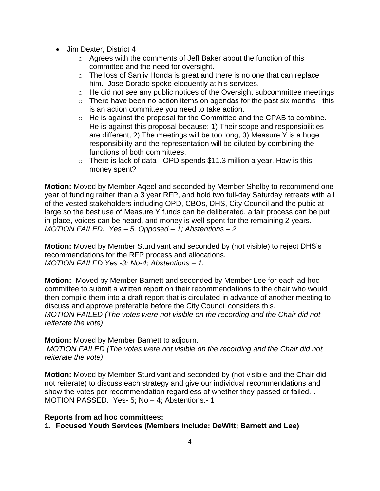- Jim Dexter, District 4
	- o Agrees with the comments of Jeff Baker about the function of this committee and the need for oversight.
	- o The loss of Sanjiv Honda is great and there is no one that can replace him. Jose Dorado spoke eloquently at his services.
	- $\circ$  He did not see any public notices of the Oversight subcommittee meetings
	- $\circ$  There have been no action items on agendas for the past six months this is an action committee you need to take action.
	- o He is against the proposal for the Committee and the CPAB to combine. He is against this proposal because: 1) Their scope and responsibilities are different, 2) The meetings will be too long, 3) Measure Y is a huge responsibility and the representation will be diluted by combining the functions of both committees.
	- $\circ$  There is lack of data OPD spends \$11.3 million a year. How is this money spent?

**Motion:** Moved by Member Aqeel and seconded by Member Shelby to recommend one year of funding rather than a 3 year RFP, and hold two full-day Saturday retreats with all of the vested stakeholders including OPD, CBOs, DHS, City Council and the pubic at large so the best use of Measure Y funds can be deliberated, a fair process can be put in place, voices can be heard, and money is well-spent for the remaining 2 years. *MOTION FAILED. Yes – 5, Opposed – 1; Abstentions – 2.*

**Motion:** Moved by Member Sturdivant and seconded by (not visible) to reject DHS's recommendations for the RFP process and allocations. *MOTION FAILED Yes -3; No-4; Abstentions – 1.* 

**Motion:** Moved by Member Barnett and seconded by Member Lee for each ad hoc committee to submit a written report on their recommendations to the chair who would then compile them into a draft report that is circulated in advance of another meeting to discuss and approve preferable before the City Council considers this. *MOTION FAILED (The votes were not visible on the recording and the Chair did not reiterate the vote)*

**Motion:** Moved by Member Barnett to adjourn.

*MOTION FAILED (The votes were not visible on the recording and the Chair did not reiterate the vote)*

**Motion:** Moved by Member Sturdivant and seconded by (not visible and the Chair did not reiterate) to discuss each strategy and give our individual recommendations and show the votes per recommendation regardless of whether they passed or failed. . MOTION PASSED. Yes- 5; No – 4; Abstentions.- 1

## **Reports from ad hoc committees:**

**1. Focused Youth Services (Members include: DeWitt; Barnett and Lee)**